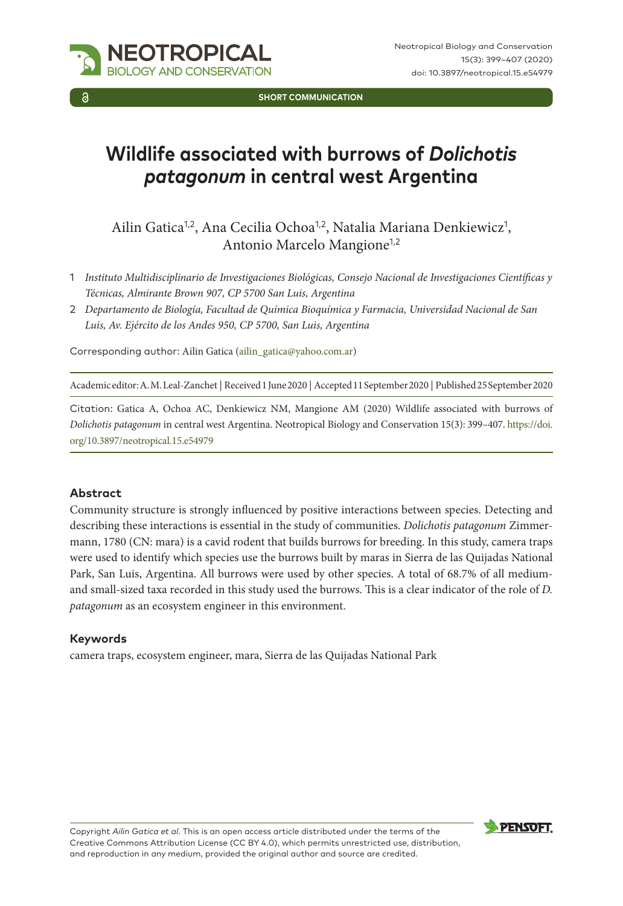

**SHORT COMMUNICATION**

# **Wildlife associated with burrows of** *Dolichotis patagonum* **in central west Argentina**

Ailin Gatica<sup>1,2</sup>, Ana Cecilia Ochoa<sup>1,2</sup>, Natalia Mariana Denkiewicz<sup>1</sup>, Antonio Marcelo Mangione<sup>1,2</sup>

- 1 *Instituto Multidisciplinario de Investigaciones Biológicas, Consejo Nacional de Investigaciones Científicas y Técnicas, Almirante Brown 907, CP 5700 San Luis, Argentina*
- 2 *Departamento de Biología, Facultad de Química Bioquímica y Farmacia, Universidad Nacional de San Luis, Av. Ejército de los Andes 950, CP 5700, San Luis, Argentina*

Corresponding author: Ailin Gatica ([ailin\\_gatica@yahoo.com.ar](mailto:ailin_gatica@yahoo.com.ar))

Academic editor: A. M. Leal-Zanchet | Received 1 June 2020 | Accepted 11 September 2020 | Published 25 September 2020

Citation: Gatica A, Ochoa AC, Denkiewicz NM, Mangione AM (2020) Wildlife associated with burrows of *Dolichotis patagonum* in central west Argentina. Neotropical Biology and Conservation 15(3): 399–407. [https://doi.](https://doi.org/10.3897/neotropical.15.e54979) [org/10.3897/neotropical.15.e54979](https://doi.org/10.3897/neotropical.15.e54979)

#### **Abstract**

Community structure is strongly influenced by positive interactions between species. Detecting and describing these interactions is essential in the study of communities. *Dolichotis patagonum* Zimmermann, 1780 (CN: mara) is a cavid rodent that builds burrows for breeding. In this study, camera traps were used to identify which species use the burrows built by maras in Sierra de las Quijadas National Park, San Luis, Argentina. All burrows were used by other species. A total of 68.7% of all mediumand small-sized taxa recorded in this study used the burrows. This is a clear indicator of the role of *D. patagonum* as an ecosystem engineer in this environment.

#### **Keywords**

camera traps, ecosystem engineer, mara, Sierra de las Quijadas National Park

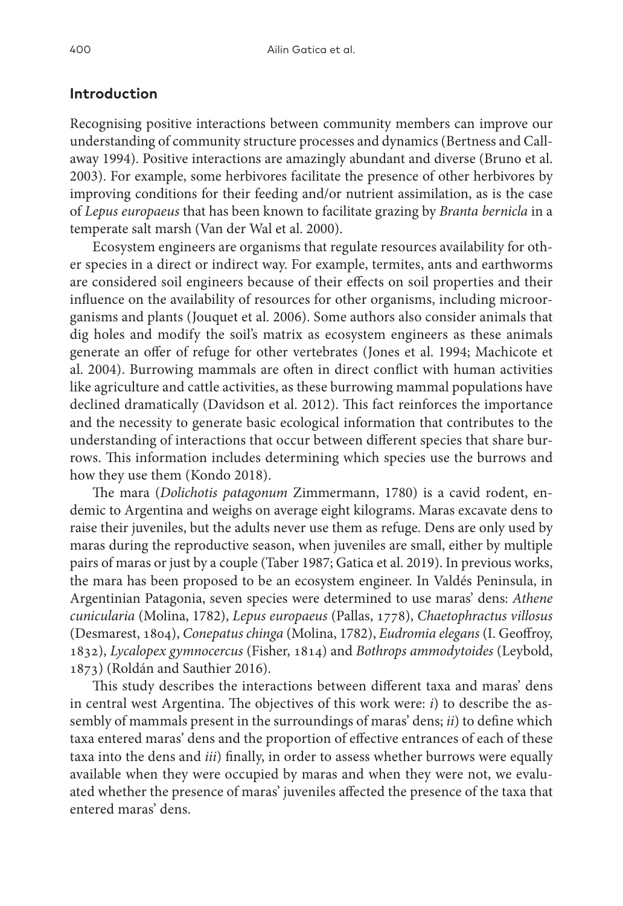#### **Introduction**

Recognising positive interactions between community members can improve our understanding of community structure processes and dynamics (Bertness and Callaway 1994). Positive interactions are amazingly abundant and diverse (Bruno et al. 2003). For example, some herbivores facilitate the presence of other herbivores by improving conditions for their feeding and/or nutrient assimilation, as is the case of *Lepus europaeus* that has been known to facilitate grazing by *Branta bernicla* in a temperate salt marsh (Van der Wal et al. 2000).

Ecosystem engineers are organisms that regulate resources availability for other species in a direct or indirect way. For example, termites, ants and earthworms are considered soil engineers because of their effects on soil properties and their influence on the availability of resources for other organisms, including microorganisms and plants (Jouquet et al. 2006). Some authors also consider animals that dig holes and modify the soil's matrix as ecosystem engineers as these animals generate an offer of refuge for other vertebrates (Jones et al. 1994; Machicote et al. 2004). Burrowing mammals are often in direct conflict with human activities like agriculture and cattle activities, as these burrowing mammal populations have declined dramatically (Davidson et al. 2012). This fact reinforces the importance and the necessity to generate basic ecological information that contributes to the understanding of interactions that occur between different species that share burrows. This information includes determining which species use the burrows and how they use them (Kondo 2018).

The mara (*Dolichotis patagonum* Zimmermann, 1780) is a cavid rodent, endemic to Argentina and weighs on average eight kilograms. Maras excavate dens to raise their juveniles, but the adults never use them as refuge. Dens are only used by maras during the reproductive season, when juveniles are small, either by multiple pairs of maras or just by a couple (Taber 1987; Gatica et al. 2019). In previous works, the mara has been proposed to be an ecosystem engineer. In Valdés Peninsula, in Argentinian Patagonia, seven species were determined to use maras' dens: *Athene cunicularia* (Molina, 1782), *Lepus europaeus* (Pallas, 1778), *Chaetophractus villosus* (Desmarest, 1804), *Conepatus chinga* (Molina, 1782), *Eudromia elegans* (I. Geoffroy, 1832), *Lycalopex gymnocercus* (Fisher, 1814) and *Bothrops ammodytoides* (Leybold, 1873) (Roldán and Sauthier 2016).

This study describes the interactions between different taxa and maras' dens in central west Argentina. The objectives of this work were: *i*) to describe the assembly of mammals present in the surroundings of maras' dens; *ii*) to define which taxa entered maras' dens and the proportion of effective entrances of each of these taxa into the dens and *iii*) finally, in order to assess whether burrows were equally available when they were occupied by maras and when they were not, we evaluated whether the presence of maras' juveniles affected the presence of the taxa that entered maras' dens.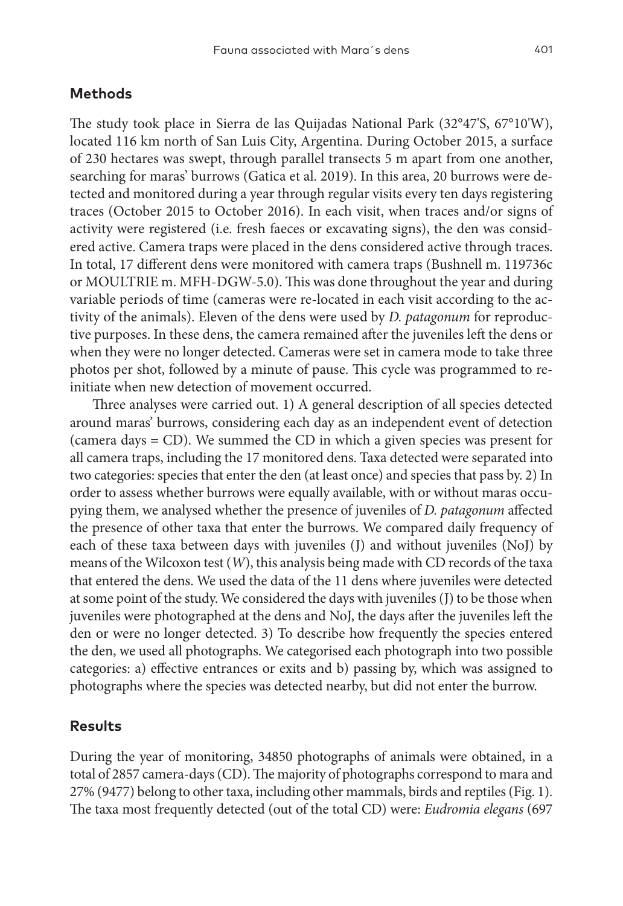## **Methods**

The study took place in Sierra de las Quijadas National Park (32°47'S, 67°10'W), located 116 km north of San Luis City, Argentina. During October 2015, a surface of 230 hectares was swept, through parallel transects 5 m apart from one another, searching for maras' burrows (Gatica et al. 2019). In this area, 20 burrows were detected and monitored during a year through regular visits every ten days registering traces (October 2015 to October 2016). In each visit, when traces and/or signs of activity were registered (i.e. fresh faeces or excavating signs), the den was considered active. Camera traps were placed in the dens considered active through traces. In total, 17 different dens were monitored with camera traps (Bushnell m. 119736c or MOULTRIE m. MFH-DGW-5.0). This was done throughout the year and during variable periods of time (cameras were re-located in each visit according to the activity of the animals). Eleven of the dens were used by *D. patagonum* for reproductive purposes. In these dens, the camera remained after the juveniles left the dens or when they were no longer detected. Cameras were set in camera mode to take three photos per shot, followed by a minute of pause. This cycle was programmed to reinitiate when new detection of movement occurred.

Three analyses were carried out. 1) A general description of all species detected around maras' burrows, considering each day as an independent event of detection (camera days = CD). We summed the CD in which a given species was present for all camera traps, including the 17 monitored dens. Taxa detected were separated into two categories: species that enter the den (at least once) and species that pass by. 2) In order to assess whether burrows were equally available, with or without maras occupying them, we analysed whether the presence of juveniles of *D. patagonum* affected the presence of other taxa that enter the burrows. We compared daily frequency of each of these taxa between days with juveniles (J) and without juveniles (NoJ) by means of the Wilcoxon test (*W*), this analysis being made with CD records of the taxa that entered the dens. We used the data of the 11 dens where juveniles were detected at some point of the study. We considered the days with juveniles (J) to be those when juveniles were photographed at the dens and NoJ, the days after the juveniles left the den or were no longer detected. 3) To describe how frequently the species entered the den, we used all photographs. We categorised each photograph into two possible categories: a) effective entrances or exits and b) passing by, which was assigned to photographs where the species was detected nearby, but did not enter the burrow.

### **Results**

During the year of monitoring, 34850 photographs of animals were obtained, in a total of 2857 camera-days (CD). The majority of photographs correspond to mara and 27% (9477) belong to other taxa, including other mammals, birds and reptiles (Fig. 1). The taxa most frequently detected (out of the total CD) were: *Eudromia elegans* (697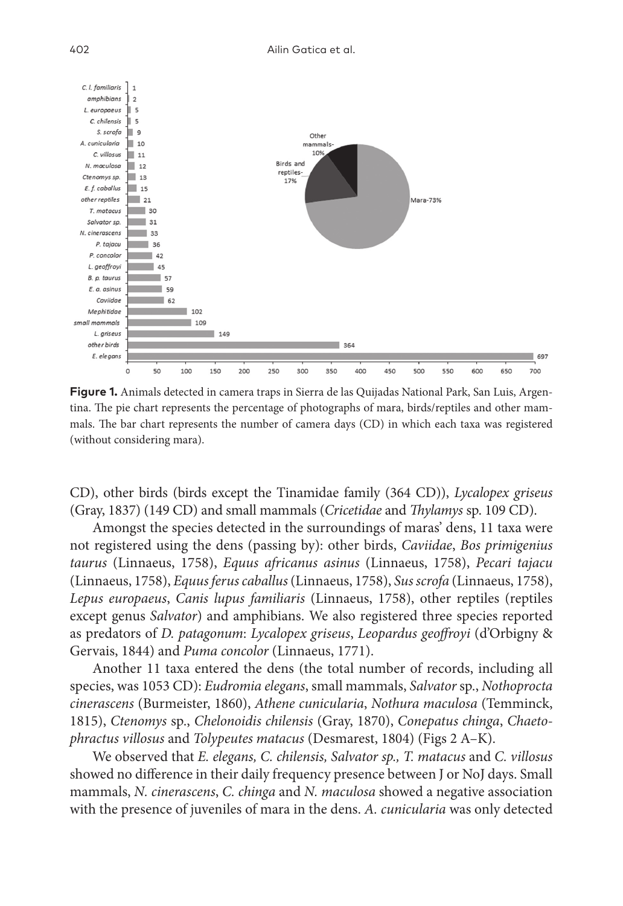

**Figure 1.** Animals detected in camera traps in Sierra de las Quijadas National Park, San Luis, Argentina. The pie chart represents the percentage of photographs of mara, birds/reptiles and other mammals. The bar chart represents the number of camera days (CD) in which each taxa was registered (without considering mara).

CD), other birds (birds except the Tinamidae family (364 CD)), *Lycalopex griseus* (Gray, 1837) (149 CD) and small mammals (*Cricetidae* and *Thylamys* sp. 109 CD).

Amongst the species detected in the surroundings of maras' dens, 11 taxa were not registered using the dens (passing by): other birds, *Caviidae*, *Bos primigenius taurus* (Linnaeus, 1758), *Equus africanus asinus* (Linnaeus, 1758), *Pecari tajacu* (Linnaeus, 1758), *Equus ferus caballus* (Linnaeus, 1758), *Sus scrofa* (Linnaeus, 1758), *Lepus europaeus*, *Canis lupus familiaris* (Linnaeus, 1758), other reptiles (reptiles except genus *Salvator*) and amphibians. We also registered three species reported as predators of *D. patagonum*: *Lycalopex griseus*, *Leopardus geoffroyi* (d'Orbigny & Gervais, 1844) and *Puma concolor* (Linnaeus, 1771).

Another 11 taxa entered the dens (the total number of records, including all species, was 1053 CD): *Eudromia elegans*, small mammals, *Salvator* sp., *Nothoprocta cinerascens* (Burmeister, 1860), *Athene cunicularia*, *Nothura maculosa* (Temminck, 1815), *Ctenomys* sp., *Chelonoidis chilensis* (Gray, 1870), *Conepatus chinga*, *Chaetophractus villosus* and *Tolypeutes matacus* (Desmarest, 1804) (Figs 2 A–K).

We observed that *E. elegans, C. chilensis, Salvator sp., T. matacus* and *C. villosus* showed no difference in their daily frequency presence between J or NoJ days. Small mammals, *N. cinerascens*, *C. chinga* and *N. maculosa* showed a negative association with the presence of juveniles of mara in the dens. *A. cunicularia* was only detected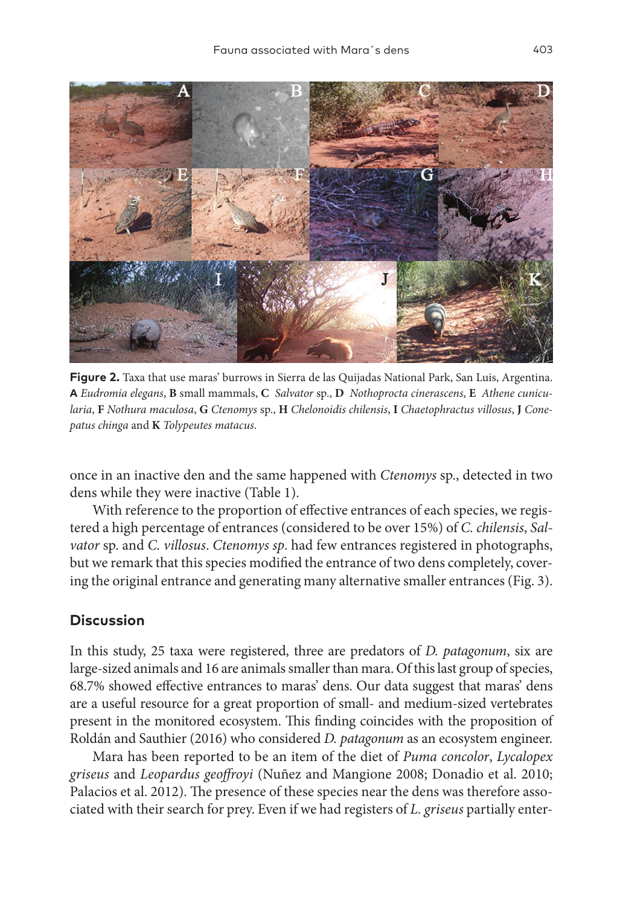

**Figure 2.** Taxa that use maras' burrows in Sierra de las Quijadas National Park, San Luis, Argentina. **A** *Eudromia elegans*, **B** small mammals, **C** *Salvator* sp., **D** *Nothoprocta cinerascens*, **E** *Athene cunicularia*, **F** *Nothura maculosa*, **G** *Ctenomys* sp., **H** *Chelonoidis chilensis*, **I** *Chaetophractus villosus*, **J** *Conepatus chinga* and **K** *Tolypeutes matacus*.

once in an inactive den and the same happened with *Ctenomys* sp., detected in two dens while they were inactive (Table 1).

With reference to the proportion of effective entrances of each species, we registered a high percentage of entrances (considered to be over 15%) of *C. chilensis*, *Salvator* sp. and *C. villosus*. *Ctenomys sp*. had few entrances registered in photographs, but we remark that this species modified the entrance of two dens completely, covering the original entrance and generating many alternative smaller entrances (Fig. 3).

## **Discussion**

In this study, 25 taxa were registered, three are predators of *D. patagonum*, six are large-sized animals and 16 are animals smaller than mara. Of this last group of species, 68.7% showed effective entrances to maras' dens. Our data suggest that maras' dens are a useful resource for a great proportion of small- and medium-sized vertebrates present in the monitored ecosystem. This finding coincides with the proposition of Roldán and Sauthier (2016) who considered *D. patagonum* as an ecosystem engineer.

Mara has been reported to be an item of the diet of *Puma concolor*, *Lycalopex griseus* and *Leopardus geoffroyi* (Nuñez and Mangione 2008; Donadio et al. 2010; Palacios et al. 2012). The presence of these species near the dens was therefore associated with their search for prey. Even if we had registers of *L. griseus* partially enter-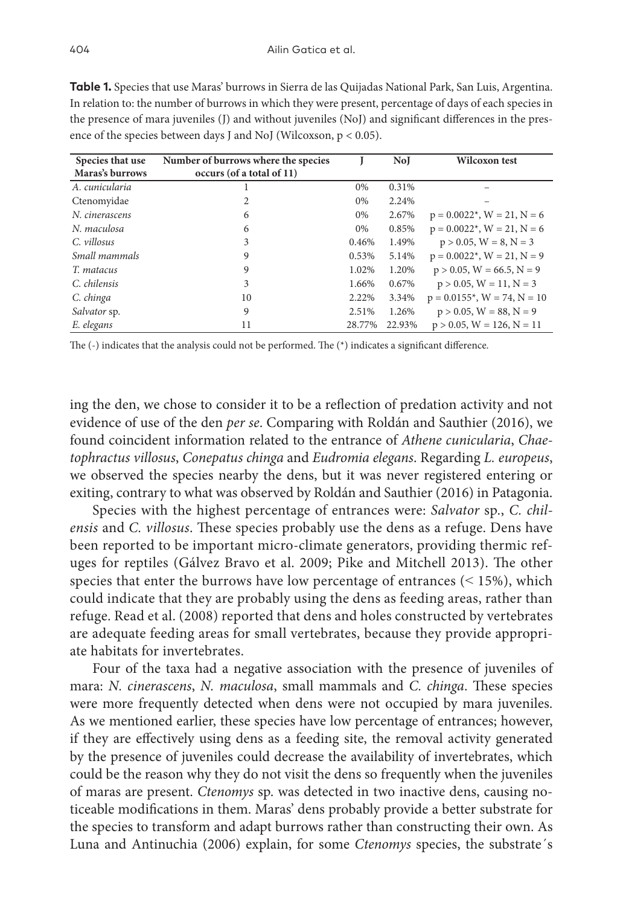| Species that use<br>Maras's burrows | Number of burrows where the species<br>occurs (of a total of 11) |        | <b>No</b> I | Wilcoxon test                                  |
|-------------------------------------|------------------------------------------------------------------|--------|-------------|------------------------------------------------|
| A. cunicularia                      |                                                                  | 0%     | 0.31%       |                                                |
| Ctenomyidae                         | 2                                                                | $0\%$  | 2.24%       |                                                |
| N. cinerascens                      | 6                                                                | $0\%$  | 2.67%       | $p = 0.0022^*$ , $W = 21$ , $N = 6$            |
| N. maculosa                         | 6                                                                | $0\%$  | 0.85%       | $p = 0.0022$ <sup>*</sup> , $W = 21$ , $N = 6$ |
| C. villosus                         | 3                                                                | 0.46%  | 1.49%       | $p > 0.05$ , $W = 8$ , $N = 3$                 |
| Small mammals                       | 9                                                                | 0.53%  | 5.14%       | $p = 0.0022$ <sup>*</sup> , $W = 21$ , $N = 9$ |
| T. matacus                          | 9                                                                | 1.02%  | 1.20%       | $p > 0.05$ , $W = 66.5$ , $N = 9$              |
| C. chilensis                        | 3                                                                | 1.66%  | 0.67%       | $p > 0.05$ , $W = 11$ , $N = 3$                |
| C. chinga                           | 10                                                               | 2.22%  | 3.34%       | $p = 0.0155^*$ , $W = 74$ , $N = 10$           |
| Salvator sp.                        | 9                                                                | 2.51%  | 1.26%       | $p > 0.05$ , $W = 88$ , $N = 9$                |
| E. elegans                          | 11                                                               | 28.77% | 22.93%      | $p > 0.05$ , $W = 126$ , $N = 11$              |

**Table 1.** Species that use Maras' burrows in Sierra de las Quijadas National Park, San Luis, Argentina. In relation to: the number of burrows in which they were present, percentage of days of each species in the presence of mara juveniles (J) and without juveniles (NoJ) and significant differences in the presence of the species between days J and NoJ (Wilcoxson, p < 0.05).

The (-) indicates that the analysis could not be performed. The (\*) indicates a significant difference.

ing the den, we chose to consider it to be a reflection of predation activity and not evidence of use of the den *per se*. Comparing with Roldán and Sauthier (2016), we found coincident information related to the entrance of *Athene cunicularia*, *Chaetophractus villosus*, *Conepatus chinga* and *Eudromia elegans*. Regarding *L. europeus*, we observed the species nearby the dens, but it was never registered entering or exiting, contrary to what was observed by Roldán and Sauthier (2016) in Patagonia.

Species with the highest percentage of entrances were: *Salvator* sp., *C. chilensis* and *C. villosus*. These species probably use the dens as a refuge. Dens have been reported to be important micro-climate generators, providing thermic refuges for reptiles (Gálvez Bravo et al. 2009; Pike and Mitchell 2013). The other species that enter the burrows have low percentage of entrances  $(< 15\%)$ , which could indicate that they are probably using the dens as feeding areas, rather than refuge. Read et al. (2008) reported that dens and holes constructed by vertebrates are adequate feeding areas for small vertebrates, because they provide appropriate habitats for invertebrates.

Four of the taxa had a negative association with the presence of juveniles of mara: *N. cinerascens*, *N. maculosa*, small mammals and *C. chinga*. These species were more frequently detected when dens were not occupied by mara juveniles. As we mentioned earlier, these species have low percentage of entrances; however, if they are effectively using dens as a feeding site, the removal activity generated by the presence of juveniles could decrease the availability of invertebrates, which could be the reason why they do not visit the dens so frequently when the juveniles of maras are present. *Ctenomys* sp. was detected in two inactive dens, causing noticeable modifications in them. Maras' dens probably provide a better substrate for the species to transform and adapt burrows rather than constructing their own. As Luna and Antinuchia (2006) explain, for some *Ctenomys* species, the substrate´s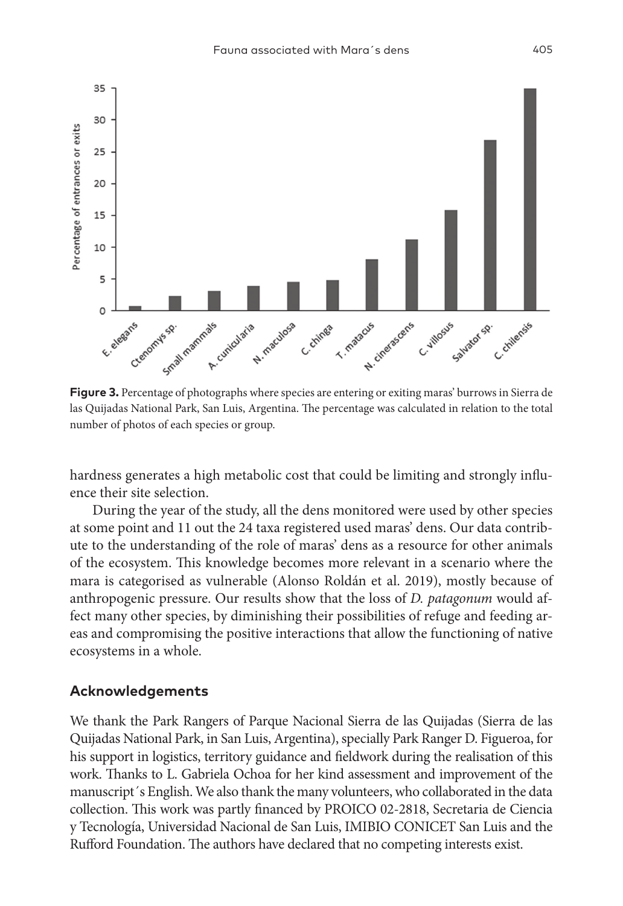

las Quijadas National Park, San Luis, Argentina. The percentage was calculated in relation to the total number of photos of each species or group.

hardness generates a high metabolic cost that could be limiting and strongly influence their site selection.

During the year of the study, all the dens monitored were used by other species at some point and 11 out the 24 taxa registered used maras' dens. Our data contribute to the understanding of the role of maras' dens as a resource for other animals of the ecosystem. This knowledge becomes more relevant in a scenario where the mara is categorised as vulnerable (Alonso Roldán et al. 2019), mostly because of anthropogenic pressure. Our results show that the loss of *D. patagonum* would affect many other species, by diminishing their possibilities of refuge and feeding areas and compromising the positive interactions that allow the functioning of native ecosystems in a whole.

#### **Acknowledgements**

We thank the Park Rangers of Parque Nacional Sierra de las Quijadas (Sierra de las Quijadas National Park, in San Luis, Argentina), specially Park Ranger D. Figueroa, for his support in logistics, territory guidance and fieldwork during the realisation of this work. Thanks to L. Gabriela Ochoa for her kind assessment and improvement of the manuscript´s English. We also thank the many volunteers, who collaborated in the data collection. This work was partly financed by PROICO 02-2818, Secretaria de Ciencia y Tecnología, Universidad Nacional de San Luis, IMIBIO CONICET San Luis and the Rufford Foundation. The authors have declared that no competing interests exist.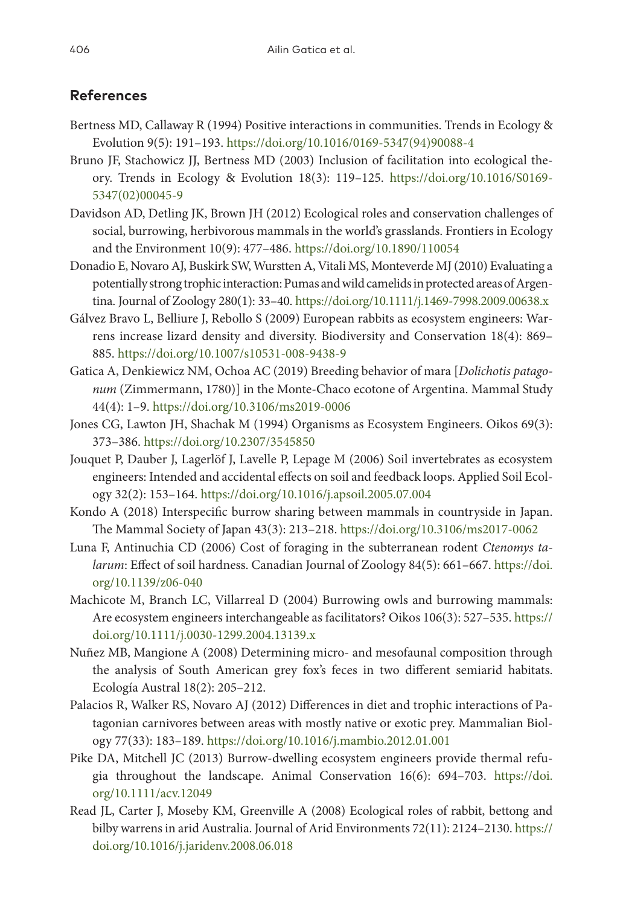## **References**

- Bertness MD, Callaway R (1994) Positive interactions in communities. Trends in Ecology & Evolution 9(5): 191–193. [https://doi.org/10.1016/0169-5347\(94\)90088-4](https://doi.org/10.1016/0169-5347(94)90088-4)
- Bruno JF, Stachowicz JJ, Bertness MD (2003) Inclusion of facilitation into ecological theory. Trends in Ecology & Evolution 18(3): 119–125. [https://doi.org/10.1016/S0169-](https://doi.org/10.1016/S0169-5347(02)00045-9) [5347\(02\)00045-9](https://doi.org/10.1016/S0169-5347(02)00045-9)
- Davidson AD, Detling JK, Brown JH (2012) Ecological roles and conservation challenges of social, burrowing, herbivorous mammals in the world's grasslands. Frontiers in Ecology and the Environment 10(9): 477–486.<https://doi.org/10.1890/110054>
- Donadio E, Novaro AJ, Buskirk SW, Wurstten A, Vitali MS, Monteverde MJ (2010) Evaluating a potentially strong trophic interaction: Pumas and wild camelids in protected areas of Argentina. Journal of Zoology 280(1): 33–40.<https://doi.org/10.1111/j.1469-7998.2009.00638.x>
- Gálvez Bravo L, Belliure J, Rebollo S (2009) European rabbits as ecosystem engineers: Warrens increase lizard density and diversity. Biodiversity and Conservation 18(4): 869– 885.<https://doi.org/10.1007/s10531-008-9438-9>
- Gatica A, Denkiewicz NM, Ochoa AC (2019) Breeding behavior of mara [*Dolichotis patagonum* (Zimmermann, 1780)] in the Monte-Chaco ecotone of Argentina. Mammal Study 44(4): 1–9. <https://doi.org/10.3106/ms2019-0006>
- Jones CG, Lawton JH, Shachak M (1994) Organisms as Ecosystem Engineers. Oikos 69(3): 373–386. <https://doi.org/10.2307/3545850>
- Jouquet P, Dauber J, Lagerlöf J, Lavelle P, Lepage M (2006) Soil invertebrates as ecosystem engineers: Intended and accidental effects on soil and feedback loops. Applied Soil Ecology 32(2): 153–164. <https://doi.org/10.1016/j.apsoil.2005.07.004>
- Kondo A (2018) Interspecific burrow sharing between mammals in countryside in Japan. The Mammal Society of Japan 43(3): 213–218. <https://doi.org/10.3106/ms2017-0062>
- Luna F, Antinuchia CD (2006) Cost of foraging in the subterranean rodent *Ctenomys talarum*: Effect of soil hardness. Canadian Journal of Zoology 84(5): 661–667. [https://doi.](https://doi.org/10.1139/z06-040) [org/10.1139/z06-040](https://doi.org/10.1139/z06-040)
- Machicote M, Branch LC, Villarreal D (2004) Burrowing owls and burrowing mammals: Are ecosystem engineers interchangeable as facilitators? Oikos 106(3): 527–535. [https://](https://doi.org/10.1111/j.0030-1299.2004.13139.x) [doi.org/10.1111/j.0030-1299.2004.13139.x](https://doi.org/10.1111/j.0030-1299.2004.13139.x)
- Nuñez MB, Mangione A (2008) Determining micro- and mesofaunal composition through the analysis of South American grey fox's feces in two different semiarid habitats. Ecología Austral 18(2): 205–212.
- Palacios R, Walker RS, Novaro AJ (2012) Differences in diet and trophic interactions of Patagonian carnivores between areas with mostly native or exotic prey. Mammalian Biology 77(33): 183–189. <https://doi.org/10.1016/j.mambio.2012.01.001>
- Pike DA, Mitchell JC (2013) Burrow-dwelling ecosystem engineers provide thermal refugia throughout the landscape. Animal Conservation 16(6): 694–703. [https://doi.](https://doi.org/10.1111/acv.12049) [org/10.1111/acv.12049](https://doi.org/10.1111/acv.12049)
- Read JL, Carter J, Moseby KM, Greenville A (2008) Ecological roles of rabbit, bettong and bilby warrens in arid Australia. Journal of Arid Environments 72(11): 2124–2130. [https://](https://doi.org/10.1016/j.jaridenv.2008.06.018) [doi.org/10.1016/j.jaridenv.2008.06.018](https://doi.org/10.1016/j.jaridenv.2008.06.018)